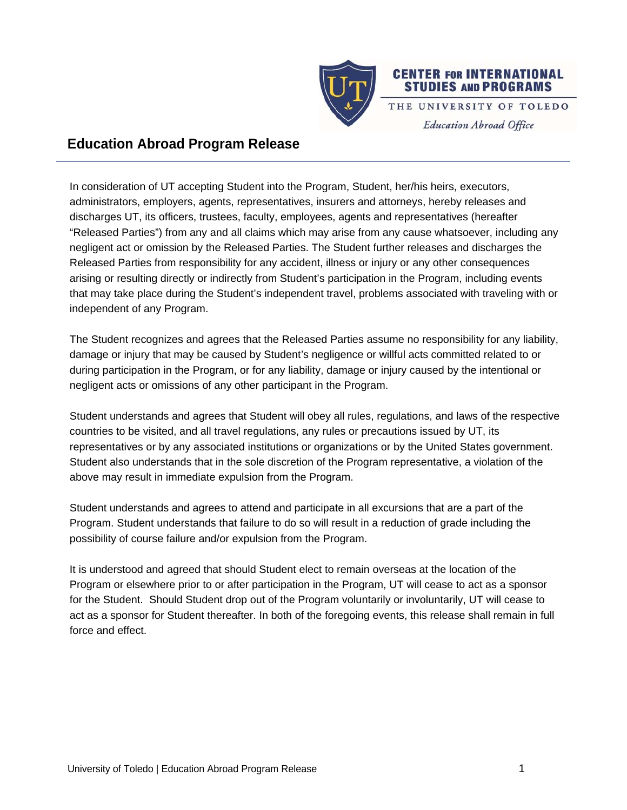

## **Education Abroad Program Release**

In consideration of UT accepting Student into the Program, Student, her/his heirs, executors, administrators, employers, agents, representatives, insurers and attorneys, hereby releases and discharges UT, its officers, trustees, faculty, employees, agents and representatives (hereafter "Released Parties") from any and all claims which may arise from any cause whatsoever, including any negligent act or omission by the Released Parties. The Student further releases and discharges the Released Parties from responsibility for any accident, illness or injury or any other consequences arising or resulting directly or indirectly from Student's participation in the Program, including events that may take place during the Student's independent travel, problems associated with traveling with or independent of any Program.

The Student recognizes and agrees that the Released Parties assume no responsibility for any liability, damage or injury that may be caused by Student's negligence or willful acts committed related to or during participation in the Program, or for any liability, damage or injury caused by the intentional or negligent acts or omissions of any other participant in the Program.

Student understands and agrees that Student will obey all rules, regulations, and laws of the respective countries to be visited, and all travel regulations, any rules or precautions issued by UT, its representatives or by any associated institutions or organizations or by the United States government. Student also understands that in the sole discretion of the Program representative, a violation of the above may result in immediate expulsion from the Program.

Student understands and agrees to attend and participate in all excursions that are a part of the Program. Student understands that failure to do so will result in a reduction of grade including the possibility of course failure and/or expulsion from the Program.

It is understood and agreed that should Student elect to remain overseas at the location of the Program or elsewhere prior to or after participation in the Program, UT will cease to act as a sponsor for the Student. Should Student drop out of the Program voluntarily or involuntarily, UT will cease to act as a sponsor for Student thereafter. In both of the foregoing events, this release shall remain in full force and effect.